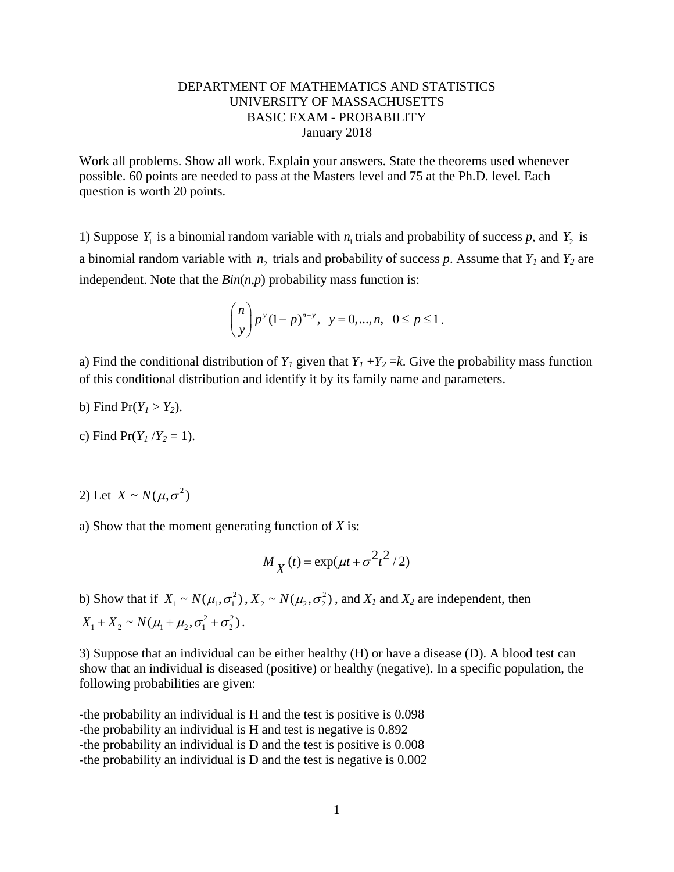## DEPARTMENT OF MATHEMATICS AND STATISTICS UNIVERSITY OF MASSACHUSETTS BASIC EXAM - PROBABILITY January 2018

Work all problems. Show all work. Explain your answers. State the theorems used whenever possible. 60 points are needed to pass at the Masters level and 75 at the Ph.D. level. Each question is worth 20 points.

1) Suppose  $Y_1$  is a binomial random variable with  $n_1$  trials and probability of success p, and  $Y_2$  is a binomial random variable with  $n_2$  trials and probability of success p. Assume that  $Y_1$  and  $Y_2$  are independent. Note that the  $Bin(n,p)$  probability mass function is:

$$
\binom{n}{y} p^y (1-p)^{n-y}, \ \ y = 0, \dots, n, \ \ 0 \le p \le 1.
$$

a) Find the conditional distribution of  $Y_1$  given that  $Y_1 + Y_2 = k$ . Give the probability mass function of this conditional distribution and identify it by its family name and parameters.

- b) Find  $Pr(Y_1 > Y_2)$ .
- c) Find  $Pr(Y_1/Y_2 = 1)$ .
- 2) Let  $X \sim N(\mu, \sigma^2)$

a) Show that the moment generating function of *X* is:

$$
M_X(t) = \exp(\mu t + \sigma^2 t^2 / 2)
$$

b) Show that if  $X_1 \sim N(\mu_1, \sigma_1^2)$ ,  $X_2 \sim N(\mu_2, \sigma_2^2)$ , and  $X_1$  and  $X_2$  are independent, then  $X_1 + X_2 \sim N(\mu_1 + \mu_2, \sigma_1^2 + \sigma_2^2).$ 

3) Suppose that an individual can be either healthy (H) or have a disease (D). A blood test can show that an individual is diseased (positive) or healthy (negative). In a specific population, the following probabilities are given:

-the probability an individual is H and the test is positive is 0.098 -the probability an individual is H and test is negative is 0.892 -the probability an individual is D and the test is positive is 0.008 -the probability an individual is D and the test is negative is 0.002